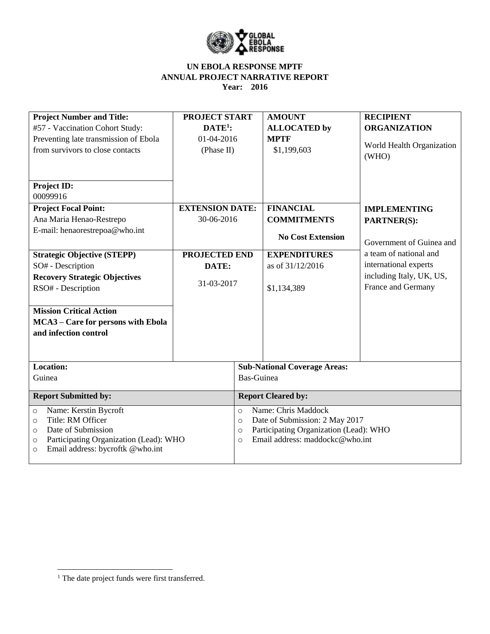

| <b>Project Number and Title:</b>                  | <b>PROJECT START</b>   |                                           | <b>AMOUNT</b>                          | <b>RECIPIENT</b>          |  |
|---------------------------------------------------|------------------------|-------------------------------------------|----------------------------------------|---------------------------|--|
| #57 - Vaccination Cohort Study:                   | $DATA$ :               |                                           | <b>ALLOCATED</b> by                    | <b>ORGANIZATION</b>       |  |
| Preventing late transmission of Ebola             | 01-04-2016             |                                           | <b>MPTF</b>                            |                           |  |
| from survivors to close contacts                  | (Phase II)             |                                           | \$1,199,603                            | World Health Organization |  |
|                                                   |                        |                                           |                                        | (WHO)                     |  |
|                                                   |                        |                                           |                                        |                           |  |
| Project ID:                                       |                        |                                           |                                        |                           |  |
| 00099916                                          |                        |                                           |                                        |                           |  |
| <b>Project Focal Point:</b>                       | <b>EXTENSION DATE:</b> |                                           | <b>FINANCIAL</b>                       | <b>IMPLEMENTING</b>       |  |
| Ana Maria Henao-Restrepo                          | 30-06-2016             |                                           | <b>COMMITMENTS</b>                     | <b>PARTNER(S):</b>        |  |
| E-mail: henaorestrepoa@who.int                    |                        |                                           | <b>No Cost Extension</b>               |                           |  |
|                                                   |                        |                                           |                                        | Government of Guinea and  |  |
| <b>Strategic Objective (STEPP)</b>                | <b>PROJECTED END</b>   |                                           | <b>EXPENDITURES</b>                    | a team of national and    |  |
| SO# - Description                                 | DATE:                  |                                           | as of 31/12/2016                       | international experts     |  |
| <b>Recovery Strategic Objectives</b>              |                        |                                           |                                        | including Italy, UK, US,  |  |
| RSO# - Description                                | 31-03-2017             |                                           | \$1,134,389                            | France and Germany        |  |
|                                                   |                        |                                           |                                        |                           |  |
| <b>Mission Critical Action</b>                    |                        |                                           |                                        |                           |  |
| MCA3 - Care for persons with Ebola                |                        |                                           |                                        |                           |  |
| and infection control                             |                        |                                           |                                        |                           |  |
|                                                   |                        |                                           |                                        |                           |  |
|                                                   |                        |                                           |                                        |                           |  |
| Location:                                         |                        | <b>Sub-National Coverage Areas:</b>       |                                        |                           |  |
| Guinea                                            |                        | Bas-Guinea                                |                                        |                           |  |
| <b>Report Submitted by:</b>                       |                        | <b>Report Cleared by:</b>                 |                                        |                           |  |
| Name: Kerstin Bycroft<br>$\circ$                  |                        | $\circ$                                   | Name: Chris Maddock                    |                           |  |
| Title: RM Officer<br>$\Omega$                     |                        | Date of Submission: 2 May 2017<br>$\circ$ |                                        |                           |  |
| Date of Submission<br>$\circ$                     |                        | $\circ$                                   | Participating Organization (Lead): WHO |                           |  |
| Participating Organization (Lead): WHO<br>$\circ$ |                        | $\Omega$                                  | Email address: maddockc@who.int        |                           |  |
| Email address: bycroftk @who.int<br>$\circ$       |                        |                                           |                                        |                           |  |

 $\overline{\phantom{a}}$ 

<sup>&</sup>lt;sup>1</sup> The date project funds were first transferred.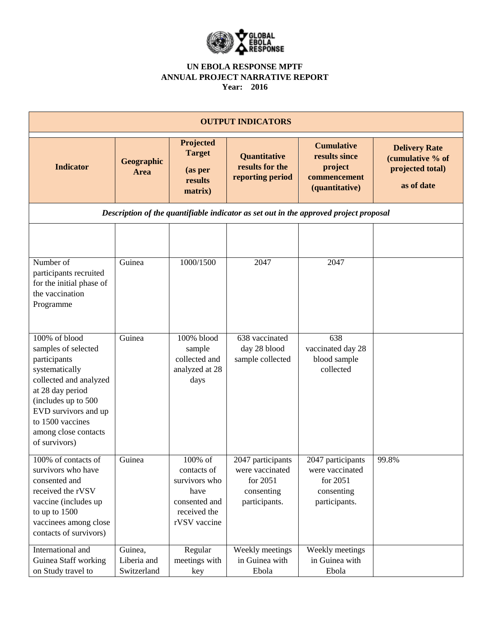

|                                                                                                                                                                                                                                  |                                       |                                                                                                  | <b>OUTPUT INDICATORS</b>                                                        |                                                                                       |                                                                            |
|----------------------------------------------------------------------------------------------------------------------------------------------------------------------------------------------------------------------------------|---------------------------------------|--------------------------------------------------------------------------------------------------|---------------------------------------------------------------------------------|---------------------------------------------------------------------------------------|----------------------------------------------------------------------------|
| <b>Indicator</b>                                                                                                                                                                                                                 | Geographic<br><b>Area</b>             | Projected<br><b>Target</b><br>(as per<br>results<br>matrix)                                      | Quantitative<br>results for the<br>reporting period                             | <b>Cumulative</b><br>results since<br>project<br>commencement<br>(quantitative)       | <b>Delivery Rate</b><br>(cumulative % of<br>projected total)<br>as of date |
|                                                                                                                                                                                                                                  |                                       |                                                                                                  |                                                                                 | Description of the quantifiable indicator as set out in the approved project proposal |                                                                            |
|                                                                                                                                                                                                                                  |                                       |                                                                                                  |                                                                                 |                                                                                       |                                                                            |
| Number of<br>participants recruited<br>for the initial phase of<br>the vaccination<br>Programme                                                                                                                                  | Guinea                                | 1000/1500                                                                                        | 2047                                                                            | 2047                                                                                  |                                                                            |
| 100% of blood<br>samples of selected<br>participants<br>systematically<br>collected and analyzed<br>at 28 day period<br>(includes up to 500<br>EVD survivors and up<br>to 1500 vaccines<br>among close contacts<br>of survivors) | Guinea                                | 100% blood<br>sample<br>collected and<br>analyzed at 28<br>days                                  | 638 vaccinated<br>day 28 blood<br>sample collected                              | 638<br>vaccinated day 28<br>blood sample<br>collected                                 |                                                                            |
| 100% of contacts of<br>survivors who have<br>consented and<br>received the rVSV<br>vaccine (includes up<br>to up to 1500<br>vaccinees among close<br>contacts of survivors)                                                      | Guinea                                | 100% of<br>contacts of<br>survivors who<br>have<br>consented and<br>received the<br>rVSV vaccine | 2047 participants<br>were vaccinated<br>for 2051<br>consenting<br>participants. | 2047 participants<br>were vaccinated<br>for 2051<br>consenting<br>participants.       | 99.8%                                                                      |
| International and<br>Guinea Staff working<br>on Study travel to                                                                                                                                                                  | Guinea,<br>Liberia and<br>Switzerland | Regular<br>meetings with<br>key                                                                  | Weekly meetings<br>in Guinea with<br>Ebola                                      | Weekly meetings<br>in Guinea with<br>Ebola                                            |                                                                            |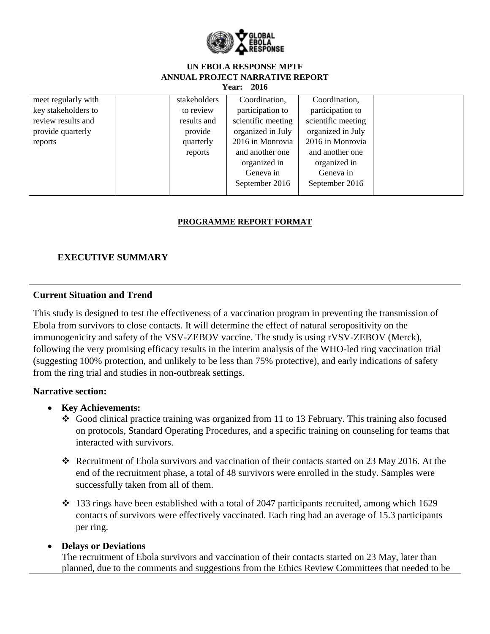

| meet regularly with | stakeholders | Coordination,      | Coordination,      |
|---------------------|--------------|--------------------|--------------------|
| key stakeholders to | to review    | participation to   | participation to   |
| review results and  | results and  | scientific meeting | scientific meeting |
| provide quarterly   | provide      | organized in July  | organized in July  |
| reports             | quarterly    | 2016 in Monrovia   | 2016 in Monrovia   |
|                     | reports      | and another one    | and another one    |
|                     |              | organized in       | organized in       |
|                     |              | Geneva in          | Geneva in          |
|                     |              | September 2016     | September 2016     |
|                     |              |                    |                    |

### **PROGRAMME REPORT FORMAT**

# **EXECUTIVE SUMMARY**

### **Current Situation and Trend**

This study is designed to test the effectiveness of a vaccination program in preventing the transmission of Ebola from survivors to close contacts. It will determine the effect of natural seropositivity on the immunogenicity and safety of the VSV-ZEBOV vaccine. The study is using rVSV-ZEBOV (Merck), following the very promising efficacy results in the interim analysis of the WHO-led ring vaccination trial (suggesting 100% protection, and unlikely to be less than 75% protective), and early indications of safety from the ring trial and studies in non-outbreak settings.

### **Narrative section:**

### **Key Achievements:**

- $\bullet$  Good clinical practice training was organized from 11 to 13 February. This training also focused on protocols, Standard Operating Procedures, and a specific training on counseling for teams that interacted with survivors.
- Recruitment of Ebola survivors and vaccination of their contacts started on 23 May 2016. At the end of the recruitment phase, a total of 48 survivors were enrolled in the study. Samples were successfully taken from all of them.
- $\div$  133 rings have been established with a total of 2047 participants recruited, among which 1629 contacts of survivors were effectively vaccinated. Each ring had an average of 15.3 participants per ring.

## **Delays or Deviations**

The recruitment of Ebola survivors and vaccination of their contacts started on 23 May, later than planned, due to the comments and suggestions from the Ethics Review Committees that needed to be